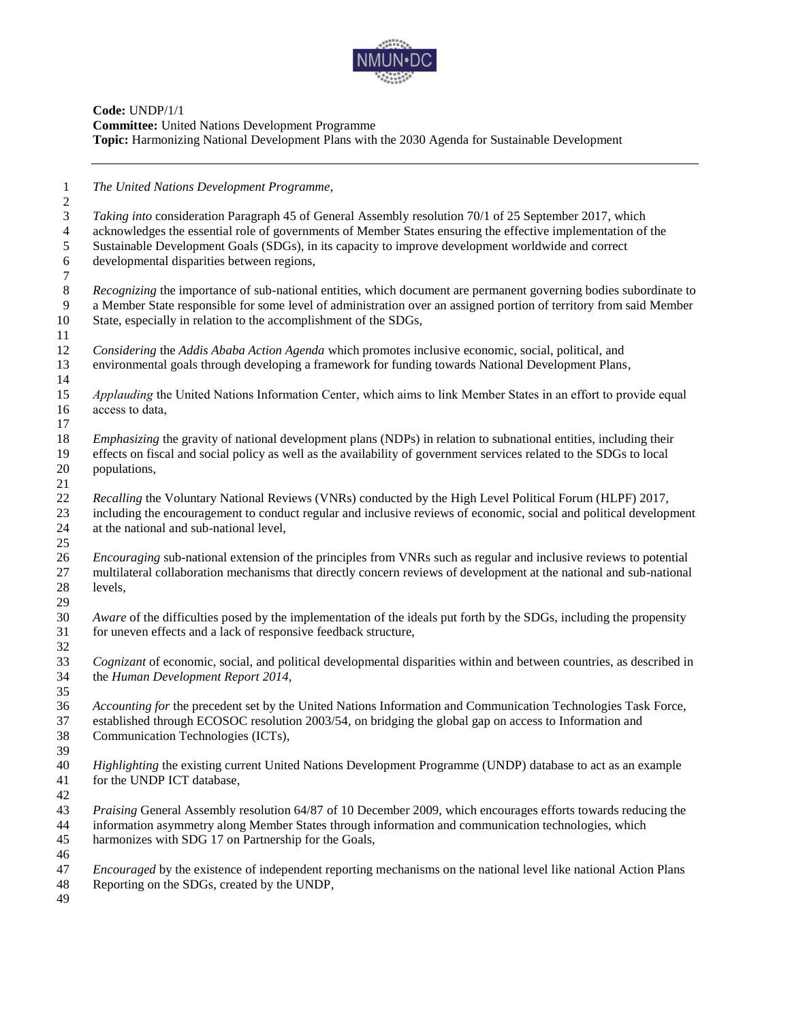

**Code:** UNDP/1/1 **Committee:** United Nations Development Programme **Topic:** Harmonizing National Development Plans with the 2030 Agenda for Sustainable Development

*The United Nations Development Programme*,

 *Taking into* consideration Paragraph 45 of General Assembly resolution 70/1 of 25 September 2017, which acknowledges the essential role of governments of Member States ensuring the effective implementation of the Sustainable Development Goals (SDGs), in its capacity to improve development worldwide and correct developmental disparities between regions, *Recognizing* the importance of sub-national entities, which document are permanent governing bodies subordinate to a Member State responsible for some level of administration over an assigned portion of territory from sai a Member State responsible for some level of administration over an assigned portion of territory from said Member State, especially in relation to the accomplishment of the SDGs, *Considering* the *Addis Ababa Action Agenda* which promotes inclusive economic, social, political, and environmental goals through developing a framework for funding towards National Development Plans, *Applauding* the United Nations Information Center, which aims to link Member States in an effort to provide equal access to data, *Emphasizing* the gravity of national development plans (NDPs) in relation to subnational entities, including their effects on fiscal and social policy as well as the availability of government services related to the SDGs to local populations, *Recalling* the Voluntary National Reviews (VNRs) conducted by the High Level Political Forum (HLPF) 2017, including the encouragement to conduct regular and inclusive reviews of economic, social and political development at the national and sub-national level, *Encouraging* sub-national extension of the principles from VNRs such as regular and inclusive reviews to potential multilateral collaboration mechanisms that directly concern reviews of development at the national and sub-national levels, *Aware* of the difficulties posed by the implementation of the ideals put forth by the SDGs, including the propensity for uneven effects and a lack of responsive feedback structure, *Cognizant* of economic, social, and political developmental disparities within and between countries, as described in the *Human Development Report 2014*, *Accounting for* the precedent set by the United Nations Information and Communication Technologies Task Force, established through ECOSOC resolution 2003/54, on bridging the global gap on access to Information and Communication Technologies (ICTs), *Highlighting* the existing current United Nations Development Programme (UNDP) database to act as an example for the UNDP ICT database, *Praising* General Assembly resolution 64/87 of 10 December 2009, which encourages efforts towards reducing the information asymmetry along Member States through information and communication technologies, which harmonizes with SDG 17 on Partnership for the Goals, *Encouraged* by the existence of independent reporting mechanisms on the national level like national Action Plans Reporting on the SDGs, created by the UNDP,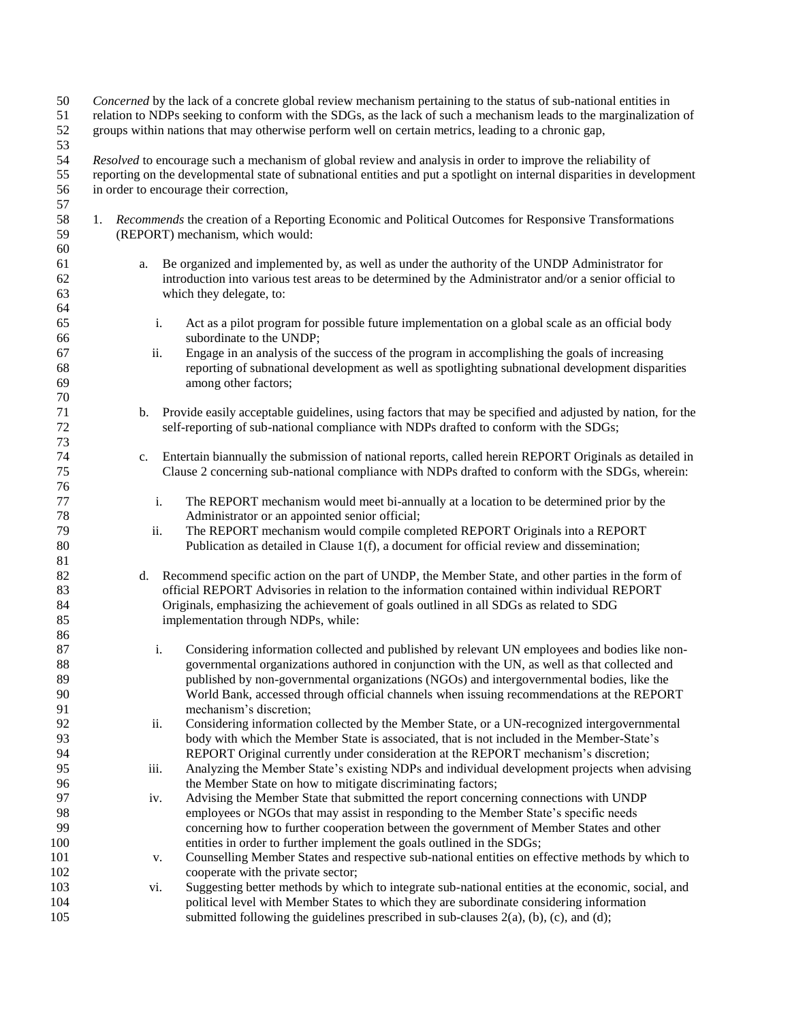| $50\,$<br>51<br>52<br>53 |             | Concerned by the lack of a concrete global review mechanism pertaining to the status of sub-national entities in<br>relation to NDPs seeking to conform with the SDGs, as the lack of such a mechanism leads to the marginalization of<br>groups within nations that may otherwise perform well on certain metrics, leading to a chronic gap, |
|--------------------------|-------------|-----------------------------------------------------------------------------------------------------------------------------------------------------------------------------------------------------------------------------------------------------------------------------------------------------------------------------------------------|
| 54<br>55<br>56<br>57     |             | Resolved to encourage such a mechanism of global review and analysis in order to improve the reliability of<br>reporting on the developmental state of subnational entities and put a spotlight on internal disparities in development<br>in order to encourage their correction,                                                             |
| 58<br>59                 |             | 1. Recommends the creation of a Reporting Economic and Political Outcomes for Responsive Transformations<br>(REPORT) mechanism, which would:                                                                                                                                                                                                  |
| 60<br>61<br>62<br>63     | a.          | Be organized and implemented by, as well as under the authority of the UNDP Administrator for<br>introduction into various test areas to be determined by the Administrator and/or a senior official to<br>which they delegate, to:                                                                                                           |
| 64<br>65<br>66           | i.          | Act as a pilot program for possible future implementation on a global scale as an official body<br>subordinate to the UNDP;                                                                                                                                                                                                                   |
| 67<br>68<br>69           | ii.         | Engage in an analysis of the success of the program in accomplishing the goals of increasing<br>reporting of subnational development as well as spotlighting subnational development disparities<br>among other factors;                                                                                                                      |
| 70<br>71<br>$72\,$<br>73 | b.          | Provide easily acceptable guidelines, using factors that may be specified and adjusted by nation, for the<br>self-reporting of sub-national compliance with NDPs drafted to conform with the SDGs;                                                                                                                                            |
| 74<br>75<br>76           | c.          | Entertain biannually the submission of national reports, called herein REPORT Originals as detailed in<br>Clause 2 concerning sub-national compliance with NDPs drafted to conform with the SDGs, wherein:                                                                                                                                    |
| 77<br>78                 | i.          | The REPORT mechanism would meet bi-annually at a location to be determined prior by the<br>Administrator or an appointed senior official;                                                                                                                                                                                                     |
| 79<br>$80\,$<br>81       | ii.         | The REPORT mechanism would compile completed REPORT Originals into a REPORT<br>Publication as detailed in Clause 1(f), a document for official review and dissemination;                                                                                                                                                                      |
| 82<br>83<br>84           | d.          | Recommend specific action on the part of UNDP, the Member State, and other parties in the form of<br>official REPORT Advisories in relation to the information contained within individual REPORT<br>Originals, emphasizing the achievement of goals outlined in all SDGs as related to SDG                                                   |
| 85<br>86<br>87           | i.          | implementation through NDPs, while:<br>Considering information collected and published by relevant UN employees and bodies like non-                                                                                                                                                                                                          |
| 88<br>89                 |             | governmental organizations authored in conjunction with the UN, as well as that collected and<br>published by non-governmental organizations (NGOs) and intergovernmental bodies, like the                                                                                                                                                    |
| 90<br>91<br>92           | ii.         | World Bank, accessed through official channels when issuing recommendations at the REPORT<br>mechanism's discretion;<br>Considering information collected by the Member State, or a UN-recognized intergovernmental                                                                                                                           |
| 93<br>94                 |             | body with which the Member State is associated, that is not included in the Member-State's<br>REPORT Original currently under consideration at the REPORT mechanism's discretion;                                                                                                                                                             |
| 95<br>96<br>97           | iii.<br>iv. | Analyzing the Member State's existing NDPs and individual development projects when advising<br>the Member State on how to mitigate discriminating factors;<br>Advising the Member State that submitted the report concerning connections with UNDP                                                                                           |
| 98<br>99<br>100          |             | employees or NGOs that may assist in responding to the Member State's specific needs<br>concerning how to further cooperation between the government of Member States and other<br>entities in order to further implement the goals outlined in the SDGs;                                                                                     |
| 101<br>102               | V.          | Counselling Member States and respective sub-national entities on effective methods by which to<br>cooperate with the private sector;                                                                                                                                                                                                         |
| 103<br>104<br>105        | vi.         | Suggesting better methods by which to integrate sub-national entities at the economic, social, and<br>political level with Member States to which they are subordinate considering information<br>submitted following the guidelines prescribed in sub-clauses $2(a)$ , (b), (c), and (d);                                                    |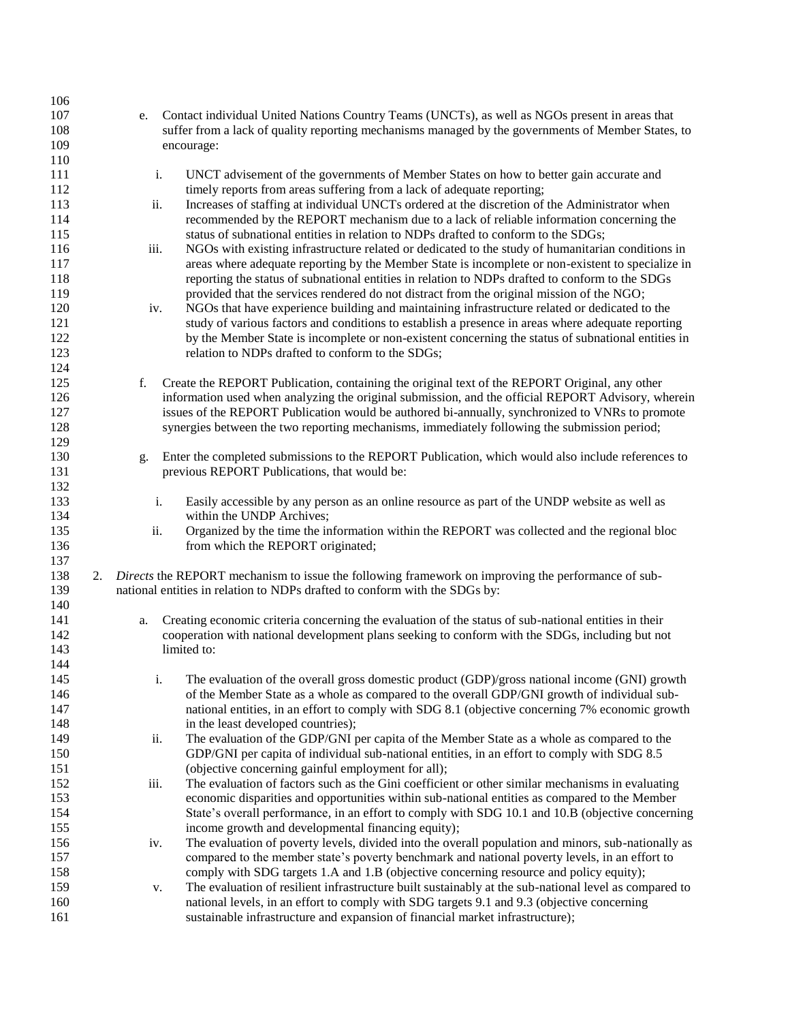| 106 |      |                                                                                                       |
|-----|------|-------------------------------------------------------------------------------------------------------|
| 107 | e.   | Contact individual United Nations Country Teams (UNCTs), as well as NGOs present in areas that        |
| 108 |      | suffer from a lack of quality reporting mechanisms managed by the governments of Member States, to    |
| 109 |      | encourage:                                                                                            |
| 110 |      |                                                                                                       |
| 111 | i.   | UNCT advisement of the governments of Member States on how to better gain accurate and                |
| 112 |      | timely reports from areas suffering from a lack of adequate reporting;                                |
| 113 | ii.  | Increases of staffing at individual UNCTs ordered at the discretion of the Administrator when         |
| 114 |      | recommended by the REPORT mechanism due to a lack of reliable information concerning the              |
| 115 |      | status of subnational entities in relation to NDPs drafted to conform to the SDGs;                    |
| 116 | iii. | NGOs with existing infrastructure related or dedicated to the study of humanitarian conditions in     |
| 117 |      | areas where adequate reporting by the Member State is incomplete or non-existent to specialize in     |
| 118 |      | reporting the status of subnational entities in relation to NDPs drafted to conform to the SDGs       |
| 119 |      | provided that the services rendered do not distract from the original mission of the NGO;             |
| 120 | iv.  | NGOs that have experience building and maintaining infrastructure related or dedicated to the         |
| 121 |      | study of various factors and conditions to establish a presence in areas where adequate reporting     |
| 122 |      | by the Member State is incomplete or non-existent concerning the status of subnational entities in    |
| 123 |      | relation to NDPs drafted to conform to the SDGs;                                                      |
| 124 |      |                                                                                                       |
| 125 | f.   | Create the REPORT Publication, containing the original text of the REPORT Original, any other         |
| 126 |      | information used when analyzing the original submission, and the official REPORT Advisory, wherein    |
| 127 |      | issues of the REPORT Publication would be authored bi-annually, synchronized to VNRs to promote       |
| 128 |      | synergies between the two reporting mechanisms, immediately following the submission period;          |
| 129 |      |                                                                                                       |
| 130 | g.   | Enter the completed submissions to the REPORT Publication, which would also include references to     |
| 131 |      | previous REPORT Publications, that would be:                                                          |
| 132 |      |                                                                                                       |
| 133 | i.   | Easily accessible by any person as an online resource as part of the UNDP website as well as          |
| 134 |      | within the UNDP Archives;                                                                             |
| 135 | ii.  | Organized by the time the information within the REPORT was collected and the regional bloc           |
| 136 |      | from which the REPORT originated;                                                                     |
| 137 |      |                                                                                                       |
| 138 | 2.   | Directs the REPORT mechanism to issue the following framework on improving the performance of sub-    |
| 139 |      | national entities in relation to NDPs drafted to conform with the SDGs by:                            |
| 140 |      |                                                                                                       |
| 141 | a.   | Creating economic criteria concerning the evaluation of the status of sub-national entities in their  |
| 142 |      | cooperation with national development plans seeking to conform with the SDGs, including but not       |
| 143 |      | limited to:                                                                                           |
| 144 |      |                                                                                                       |
| 145 | i.   | The evaluation of the overall gross domestic product (GDP)/gross national income (GNI) growth         |
| 146 |      | of the Member State as a whole as compared to the overall GDP/GNI growth of individual sub-           |
| 147 |      | national entities, in an effort to comply with SDG 8.1 (objective concerning 7% economic growth       |
| 148 |      | in the least developed countries);                                                                    |
| 149 | ii.  | The evaluation of the GDP/GNI per capita of the Member State as a whole as compared to the            |
| 150 |      | GDP/GNI per capita of individual sub-national entities, in an effort to comply with SDG 8.5           |
| 151 |      | (objective concerning gainful employment for all);                                                    |
| 152 | iii. | The evaluation of factors such as the Gini coefficient or other similar mechanisms in evaluating      |
| 153 |      | economic disparities and opportunities within sub-national entities as compared to the Member         |
| 154 |      | State's overall performance, in an effort to comply with SDG 10.1 and 10.B (objective concerning      |
| 155 |      | income growth and developmental financing equity);                                                    |
| 156 | iv.  | The evaluation of poverty levels, divided into the overall population and minors, sub-nationally as   |
| 157 |      | compared to the member state's poverty benchmark and national poverty levels, in an effort to         |
| 158 |      | comply with SDG targets 1.A and 1.B (objective concerning resource and policy equity);                |
| 159 | v.   | The evaluation of resilient infrastructure built sustainably at the sub-national level as compared to |
| 160 |      | national levels, in an effort to comply with SDG targets 9.1 and 9.3 (objective concerning            |
| 161 |      | sustainable infrastructure and expansion of financial market infrastructure);                         |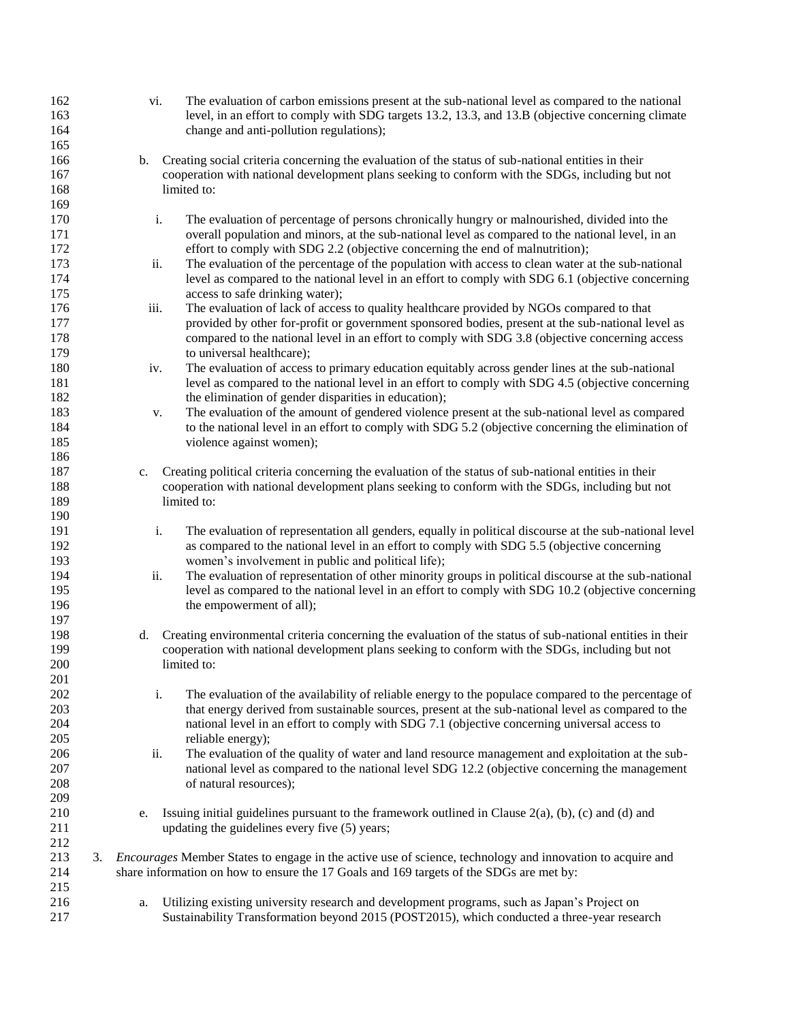| 162 |    | vi.         | The evaluation of carbon emissions present at the sub-national level as compared to the national          |
|-----|----|-------------|-----------------------------------------------------------------------------------------------------------|
| 163 |    |             | level, in an effort to comply with SDG targets 13.2, 13.3, and 13.B (objective concerning climate         |
| 164 |    |             | change and anti-pollution regulations);                                                                   |
| 165 |    |             |                                                                                                           |
| 166 |    | $b_{\cdot}$ | Creating social criteria concerning the evaluation of the status of sub-national entities in their        |
| 167 |    |             | cooperation with national development plans seeking to conform with the SDGs, including but not           |
| 168 |    |             | limited to:                                                                                               |
| 169 |    |             |                                                                                                           |
|     |    |             |                                                                                                           |
| 170 |    | i.          | The evaluation of percentage of persons chronically hungry or malnourished, divided into the              |
| 171 |    |             | overall population and minors, at the sub-national level as compared to the national level, in an         |
| 172 |    |             | effort to comply with SDG 2.2 (objective concerning the end of malnutrition);                             |
| 173 |    | ii.         | The evaluation of the percentage of the population with access to clean water at the sub-national         |
| 174 |    |             | level as compared to the national level in an effort to comply with SDG 6.1 (objective concerning         |
| 175 |    |             | access to safe drinking water);                                                                           |
| 176 |    | iii.        | The evaluation of lack of access to quality healthcare provided by NGOs compared to that                  |
| 177 |    |             | provided by other for-profit or government sponsored bodies, present at the sub-national level as         |
| 178 |    |             | compared to the national level in an effort to comply with SDG 3.8 (objective concerning access           |
| 179 |    |             | to universal healthcare);                                                                                 |
| 180 |    | iv.         | The evaluation of access to primary education equitably across gender lines at the sub-national           |
| 181 |    |             | level as compared to the national level in an effort to comply with SDG 4.5 (objective concerning         |
| 182 |    |             | the elimination of gender disparities in education);                                                      |
| 183 |    | v.          | The evaluation of the amount of gendered violence present at the sub-national level as compared           |
| 184 |    |             | to the national level in an effort to comply with SDG 5.2 (objective concerning the elimination of        |
|     |    |             |                                                                                                           |
| 185 |    |             | violence against women);                                                                                  |
| 186 |    |             |                                                                                                           |
| 187 |    | c.          | Creating political criteria concerning the evaluation of the status of sub-national entities in their     |
| 188 |    |             | cooperation with national development plans seeking to conform with the SDGs, including but not           |
| 189 |    |             | limited to:                                                                                               |
| 190 |    |             |                                                                                                           |
| 191 |    | i.          | The evaluation of representation all genders, equally in political discourse at the sub-national level    |
| 192 |    |             | as compared to the national level in an effort to comply with SDG 5.5 (objective concerning               |
| 193 |    |             | women's involvement in public and political life);                                                        |
| 194 |    | ii.         | The evaluation of representation of other minority groups in political discourse at the sub-national      |
| 195 |    |             | level as compared to the national level in an effort to comply with SDG 10.2 (objective concerning        |
| 196 |    |             | the empowerment of all);                                                                                  |
| 197 |    |             |                                                                                                           |
| 198 |    | d.          | Creating environmental criteria concerning the evaluation of the status of sub-national entities in their |
| 199 |    |             | cooperation with national development plans seeking to conform with the SDGs, including but not           |
| 200 |    |             | limited to:                                                                                               |
| 201 |    |             |                                                                                                           |
| 202 |    | i.          | The evaluation of the availability of reliable energy to the populace compared to the percentage of       |
| 203 |    |             | that energy derived from sustainable sources, present at the sub-national level as compared to the        |
| 204 |    |             | national level in an effort to comply with SDG 7.1 (objective concerning universal access to              |
|     |    |             |                                                                                                           |
| 205 |    |             | reliable energy);                                                                                         |
| 206 |    | ii.         | The evaluation of the quality of water and land resource management and exploitation at the sub-          |
| 207 |    |             | national level as compared to the national level SDG 12.2 (objective concerning the management            |
| 208 |    |             | of natural resources);                                                                                    |
| 209 |    |             |                                                                                                           |
| 210 |    | e.          | Issuing initial guidelines pursuant to the framework outlined in Clause $2(a)$ , (b), (c) and (d) and     |
| 211 |    |             | updating the guidelines every five (5) years;                                                             |
| 212 |    |             |                                                                                                           |
| 213 | 3. |             | Encourages Member States to engage in the active use of science, technology and innovation to acquire and |
| 214 |    |             | share information on how to ensure the 17 Goals and 169 targets of the SDGs are met by:                   |
| 215 |    |             |                                                                                                           |
| 216 |    | a.          | Utilizing existing university research and development programs, such as Japan's Project on               |
| 217 |    |             | Sustainability Transformation beyond 2015 (POST2015), which conducted a three-year research               |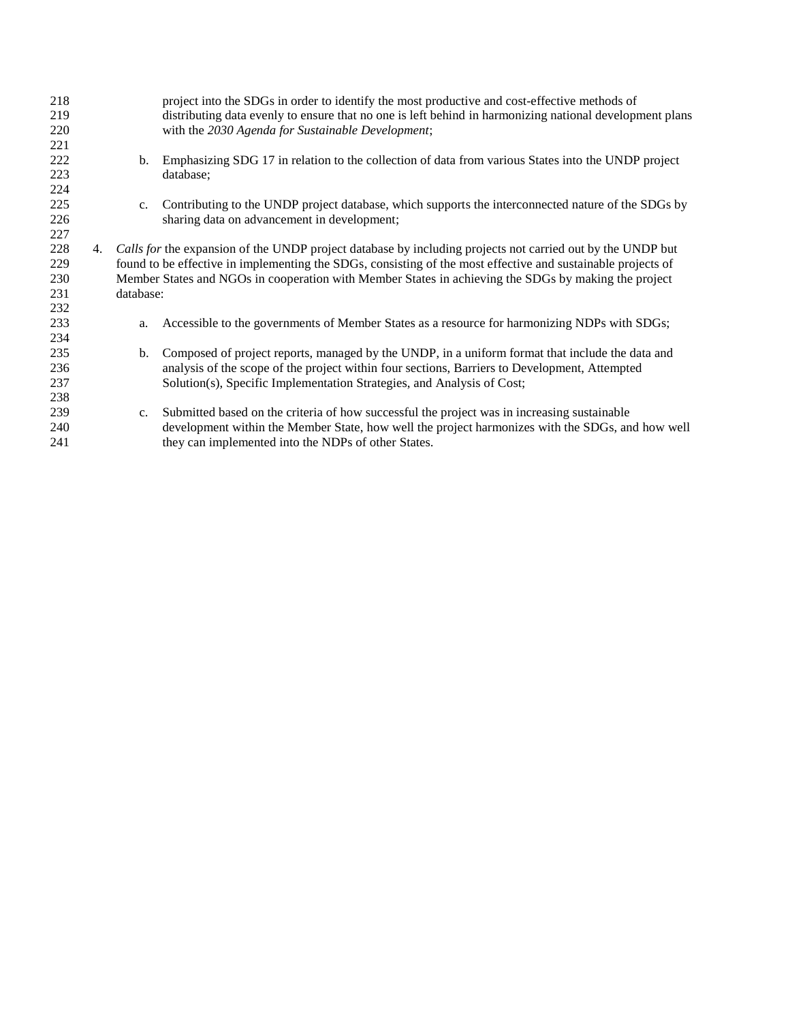| 218 |    |             | project into the SDGs in order to identify the most productive and cost-effective methods of                 |
|-----|----|-------------|--------------------------------------------------------------------------------------------------------------|
| 219 |    |             | distributing data evenly to ensure that no one is left behind in harmonizing national development plans      |
| 220 |    |             | with the 2030 Agenda for Sustainable Development;                                                            |
| 221 |    |             |                                                                                                              |
| 222 |    | b.          | Emphasizing SDG 17 in relation to the collection of data from various States into the UNDP project           |
| 223 |    |             | database:                                                                                                    |
| 224 |    |             |                                                                                                              |
| 225 |    | $c_{\cdot}$ | Contributing to the UNDP project database, which supports the interconnected nature of the SDGs by           |
| 226 |    |             | sharing data on advancement in development;                                                                  |
| 227 |    |             |                                                                                                              |
| 228 | 4. |             | Calls for the expansion of the UNDP project database by including projects not carried out by the UNDP but   |
| 229 |    |             | found to be effective in implementing the SDGs, consisting of the most effective and sustainable projects of |
| 230 |    |             | Member States and NGOs in cooperation with Member States in achieving the SDGs by making the project         |
| 231 |    | database:   |                                                                                                              |
| 232 |    |             |                                                                                                              |
| 233 |    | a.          | Accessible to the governments of Member States as a resource for harmonizing NDPs with SDGs;                 |
| 234 |    |             |                                                                                                              |
| 235 |    | b.          | Composed of project reports, managed by the UNDP, in a uniform format that include the data and              |
| 236 |    |             | analysis of the scope of the project within four sections, Barriers to Development, Attempted                |
| 237 |    |             | Solution(s), Specific Implementation Strategies, and Analysis of Cost;                                       |
| 238 |    |             |                                                                                                              |
| 239 |    | $c_{\cdot}$ | Submitted based on the criteria of how successful the project was in increasing sustainable                  |
| 240 |    |             | development within the Member State, how well the project harmonizes with the SDGs, and how well             |
| 241 |    |             | they can implemented into the NDPs of other States.                                                          |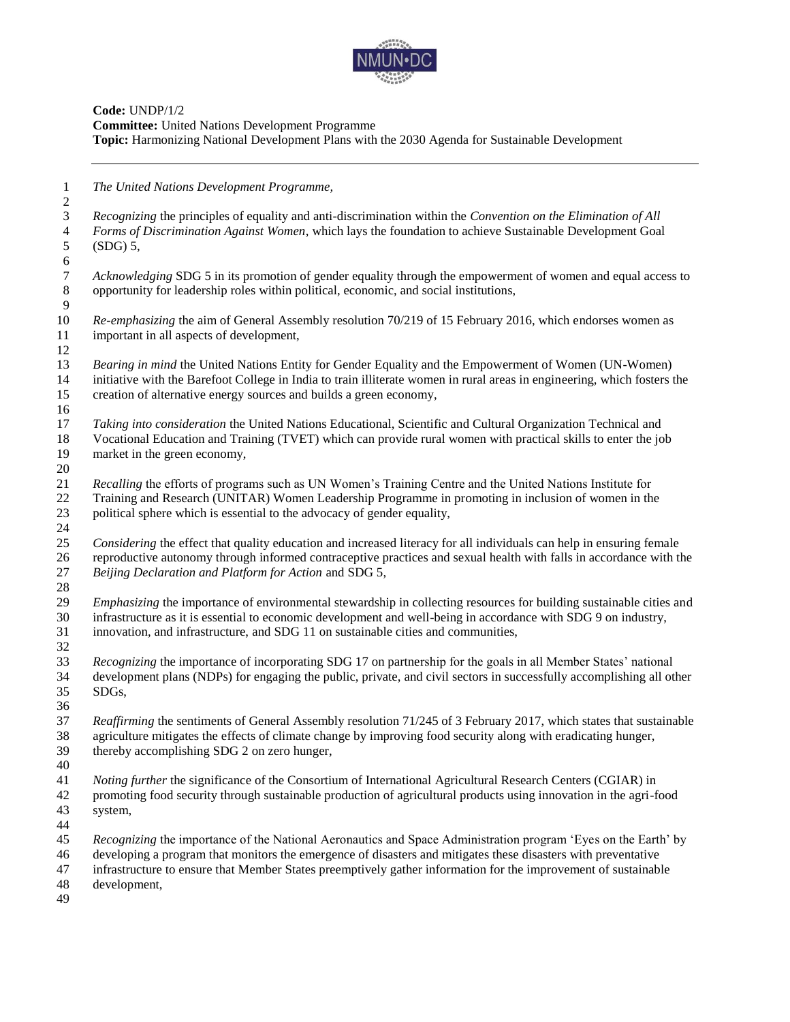

**Code:** UNDP/1/2 **Committee:** United Nations Development Programme **Topic:** Harmonizing National Development Plans with the 2030 Agenda for Sustainable Development

*The United Nations Development Programme,*

 *Recognizing* the principles of equality and anti-discrimination within the *Convention on the Elimination of All Forms of Discrimination Against Women*, which lays the foundation to achieve Sustainable Development Goal (SDG) 5, *Acknowledging* SDG 5 in its promotion of gender equality through the empowerment of women and equal access to opportunity for leadership roles within political, economic, and social institutions, opportunity for leadership roles within political, economic, and social institutions,  $\frac{9}{10}$  *Re-emphasizing* the aim of General Assembly resolution 70/219 of 15 February 2016, which endorses women as important in all aspects of development, *Bearing in mind* the United Nations Entity for Gender Equality and the Empowerment of Women (UN-Women) initiative with the Barefoot College in India to train illiterate women in rural areas in engineering, which fosters the creation of alternative energy sources and builds a green economy, *Taking into consideration* the United Nations Educational, Scientific and Cultural Organization Technical and Vocational Education and Training (TVET) which can provide rural women with practical skills to enter the job market in the green economy, *Recalling* the efforts of programs such as UN Women's Training Centre and the United Nations Institute for Training and Research (UNITAR) Women Leadership Programme in promoting in inclusion of women in the political sphere which is essential to the advocacy of gender equality, *Considering* the effect that quality education and increased literacy for all individuals can help in ensuring female reproductive autonomy through informed contraceptive practices and sexual health with falls in accordance with the *Beijing Declaration and Platform for Action* and SDG 5, *Emphasizing* the importance of environmental stewardship in collecting resources for building sustainable cities and infrastructure as it is essential to economic development and well-being in accordance with SDG 9 on industry, innovation, and infrastructure, and SDG 11 on sustainable cities and communities, *Recognizing* the importance of incorporating SDG 17 on partnership for the goals in all Member States' national development plans (NDPs) for engaging the public, private, and civil sectors in successfully accomplishing all other SDGs, *Reaffirming* the sentiments of General Assembly resolution 71/245 of 3 February 2017, which states that sustainable agriculture mitigates the effects of climate change by improving food security along with eradicating hunger, thereby accomplishing SDG 2 on zero hunger, *Noting further* the significance of the Consortium of International Agricultural Research Centers (CGIAR) in promoting food security through sustainable production of agricultural products using innovation in the agri-food system, *Recognizing* the importance of the National Aeronautics and Space Administration program 'Eyes on the Earth' by developing a program that monitors the emergence of disasters and mitigates these disasters with preventative infrastructure to ensure that Member States preemptively gather information for the improvement of sustainable development,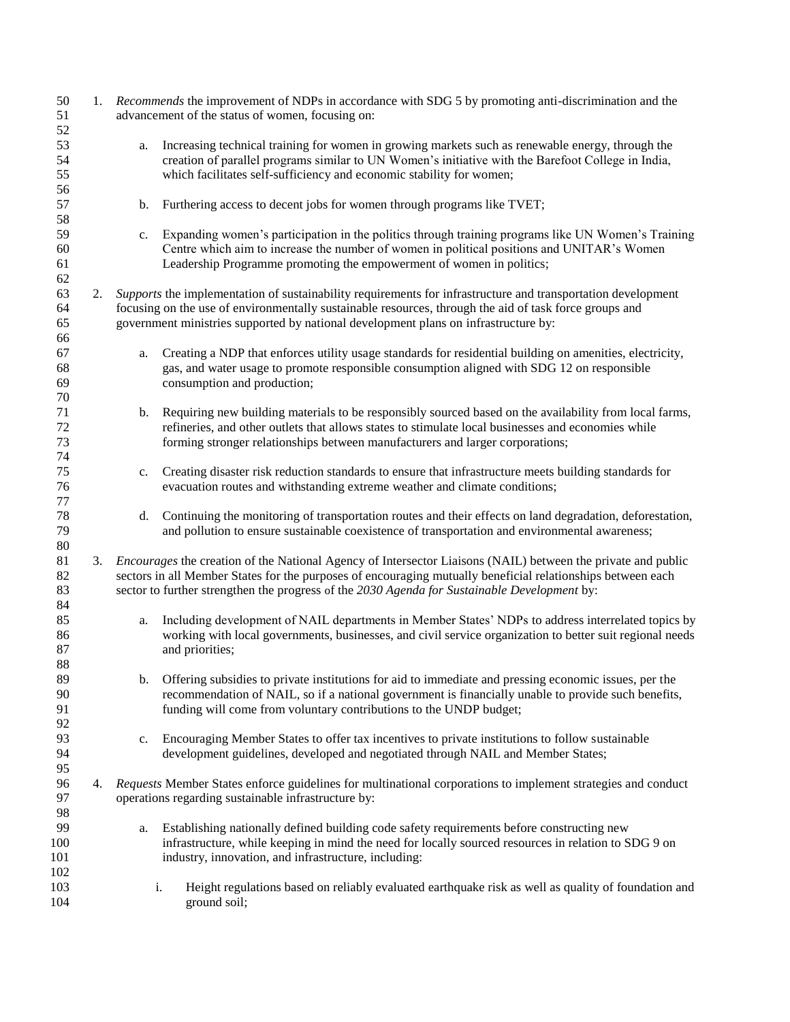| 50<br>51<br>52          | advancement of the status of women, focusing on: |    | 1. Recommends the improvement of NDPs in accordance with SDG 5 by promoting anti-discrimination and the                                                                                                                                                                                                                            |
|-------------------------|--------------------------------------------------|----|------------------------------------------------------------------------------------------------------------------------------------------------------------------------------------------------------------------------------------------------------------------------------------------------------------------------------------|
| 53<br>54<br>55<br>56    |                                                  | a. | Increasing technical training for women in growing markets such as renewable energy, through the<br>creation of parallel programs similar to UN Women's initiative with the Barefoot College in India,<br>which facilitates self-sufficiency and economic stability for women;                                                     |
| 57<br>58                |                                                  | b. | Furthering access to decent jobs for women through programs like TVET;                                                                                                                                                                                                                                                             |
| 59<br>60<br>61<br>62    |                                                  | c. | Expanding women's participation in the politics through training programs like UN Women's Training<br>Centre which aim to increase the number of women in political positions and UNITAR's Women<br>Leadership Programme promoting the empowerment of women in politics;                                                           |
| 63<br>64<br>65<br>66    |                                                  |    | 2. Supports the implementation of sustainability requirements for infrastructure and transportation development<br>focusing on the use of environmentally sustainable resources, through the aid of task force groups and<br>government ministries supported by national development plans on infrastructure by:                   |
| 67<br>68<br>69<br>70    |                                                  | a. | Creating a NDP that enforces utility usage standards for residential building on amenities, electricity,<br>gas, and water usage to promote responsible consumption aligned with SDG 12 on responsible<br>consumption and production;                                                                                              |
| 71<br>72<br>73<br>74    |                                                  | b. | Requiring new building materials to be responsibly sourced based on the availability from local farms,<br>refineries, and other outlets that allows states to stimulate local businesses and economies while<br>forming stronger relationships between manufacturers and larger corporations;                                      |
| 75<br>76<br>77          |                                                  | c. | Creating disaster risk reduction standards to ensure that infrastructure meets building standards for<br>evacuation routes and withstanding extreme weather and climate conditions;                                                                                                                                                |
| 78<br>79<br>80          |                                                  | d. | Continuing the monitoring of transportation routes and their effects on land degradation, deforestation,<br>and pollution to ensure sustainable coexistence of transportation and environmental awareness;                                                                                                                         |
| 81<br>82<br>83<br>84    | 3.                                               |    | <i>Encourages</i> the creation of the National Agency of Intersector Liaisons (NAIL) between the private and public<br>sectors in all Member States for the purposes of encouraging mutually beneficial relationships between each<br>sector to further strengthen the progress of the 2030 Agenda for Sustainable Development by: |
| 85<br>86<br>87<br>88    |                                                  | a. | Including development of NAIL departments in Member States' NDPs to address interrelated topics by<br>working with local governments, businesses, and civil service organization to better suit regional needs<br>and priorities;                                                                                                  |
| 89<br>90<br>91<br>92    |                                                  | b. | Offering subsidies to private institutions for aid to immediate and pressing economic issues, per the<br>recommendation of NAIL, so if a national government is financially unable to provide such benefits,<br>funding will come from voluntary contributions to the UNDP budget;                                                 |
| 93<br>94<br>95          |                                                  | c. | Encouraging Member States to offer tax incentives to private institutions to follow sustainable<br>development guidelines, developed and negotiated through NAIL and Member States;                                                                                                                                                |
| 96<br>97<br>98          | 4.                                               |    | Requests Member States enforce guidelines for multinational corporations to implement strategies and conduct<br>operations regarding sustainable infrastructure by:                                                                                                                                                                |
| 99<br>100<br>101<br>102 |                                                  | a. | Establishing nationally defined building code safety requirements before constructing new<br>infrastructure, while keeping in mind the need for locally sourced resources in relation to SDG 9 on<br>industry, innovation, and infrastructure, including:                                                                          |
| 103<br>104              |                                                  |    | Height regulations based on reliably evaluated earthquake risk as well as quality of foundation and<br>i.<br>ground soil;                                                                                                                                                                                                          |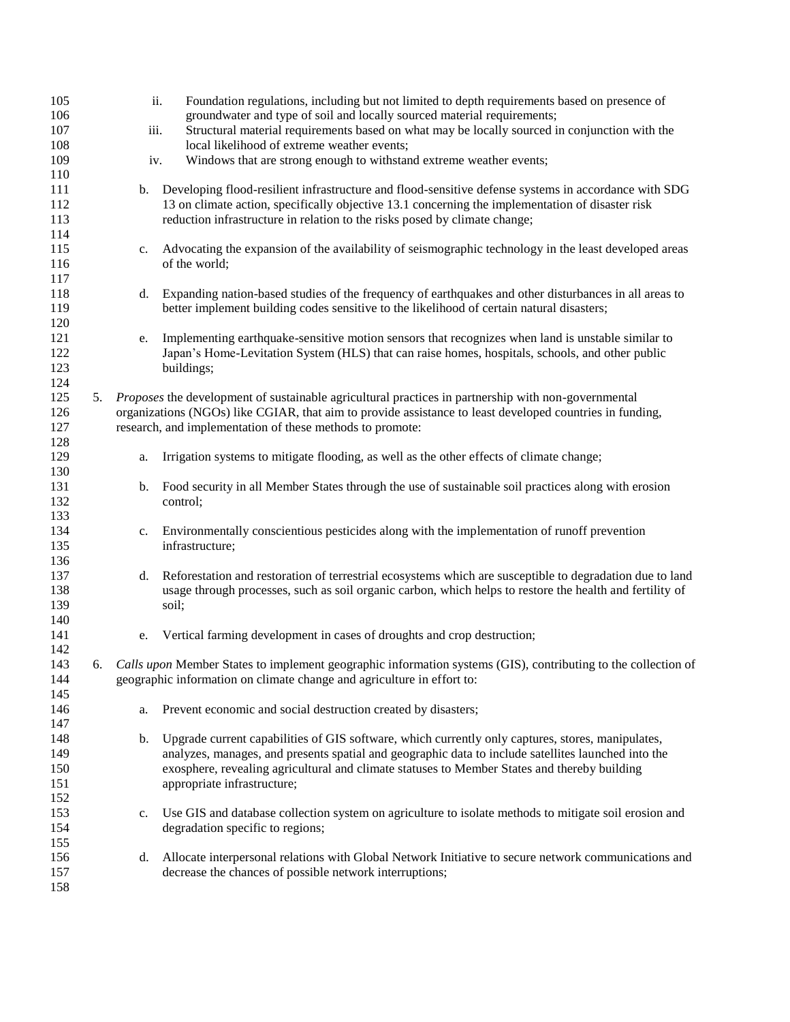| 105 |    | ii.         | Foundation regulations, including but not limited to depth requirements based on presence of                  |
|-----|----|-------------|---------------------------------------------------------------------------------------------------------------|
| 106 |    |             | groundwater and type of soil and locally sourced material requirements;                                       |
| 107 |    | iii.        | Structural material requirements based on what may be locally sourced in conjunction with the                 |
| 108 |    |             | local likelihood of extreme weather events;                                                                   |
| 109 |    | iv.         | Windows that are strong enough to withstand extreme weather events;                                           |
| 110 |    |             |                                                                                                               |
| 111 |    | b.          | Developing flood-resilient infrastructure and flood-sensitive defense systems in accordance with SDG          |
| 112 |    |             | 13 on climate action, specifically objective 13.1 concerning the implementation of disaster risk              |
| 113 |    |             | reduction infrastructure in relation to the risks posed by climate change;                                    |
| 114 |    |             |                                                                                                               |
| 115 |    | $c_{\cdot}$ | Advocating the expansion of the availability of seismographic technology in the least developed areas         |
| 116 |    |             | of the world;                                                                                                 |
| 117 |    |             |                                                                                                               |
| 118 |    | d.          | Expanding nation-based studies of the frequency of earthquakes and other disturbances in all areas to         |
| 119 |    |             | better implement building codes sensitive to the likelihood of certain natural disasters;                     |
| 120 |    |             |                                                                                                               |
| 121 |    | e.          | Implementing earthquake-sensitive motion sensors that recognizes when land is unstable similar to             |
| 122 |    |             | Japan's Home-Levitation System (HLS) that can raise homes, hospitals, schools, and other public               |
| 123 |    |             | buildings;                                                                                                    |
| 124 |    |             |                                                                                                               |
| 125 | 5. |             | Proposes the development of sustainable agricultural practices in partnership with non-governmental           |
|     |    |             |                                                                                                               |
| 126 |    |             | organizations (NGOs) like CGIAR, that aim to provide assistance to least developed countries in funding,      |
| 127 |    |             | research, and implementation of these methods to promote:                                                     |
| 128 |    |             |                                                                                                               |
| 129 |    | a.          | Irrigation systems to mitigate flooding, as well as the other effects of climate change;                      |
| 130 |    |             |                                                                                                               |
| 131 |    | b.          | Food security in all Member States through the use of sustainable soil practices along with erosion           |
| 132 |    |             | control;                                                                                                      |
| 133 |    |             |                                                                                                               |
| 134 |    | c.          | Environmentally conscientious pesticides along with the implementation of runoff prevention                   |
| 135 |    |             | infrastructure;                                                                                               |
| 136 |    |             |                                                                                                               |
| 137 |    | d.          | Reforestation and restoration of terrestrial ecosystems which are susceptible to degradation due to land      |
| 138 |    |             | usage through processes, such as soil organic carbon, which helps to restore the health and fertility of      |
| 139 |    |             | soil;                                                                                                         |
| 140 |    |             |                                                                                                               |
| 141 |    | e.          | Vertical farming development in cases of droughts and crop destruction;                                       |
| 142 |    |             |                                                                                                               |
| 143 | 6. |             | Calls upon Member States to implement geographic information systems (GIS), contributing to the collection of |
| 144 |    |             | geographic information on climate change and agriculture in effort to:                                        |
| 145 |    |             |                                                                                                               |
| 146 |    | a.          | Prevent economic and social destruction created by disasters;                                                 |
| 147 |    |             |                                                                                                               |
| 148 |    | b.          | Upgrade current capabilities of GIS software, which currently only captures, stores, manipulates,             |
| 149 |    |             | analyzes, manages, and presents spatial and geographic data to include satellites launched into the           |
| 150 |    |             | exosphere, revealing agricultural and climate statuses to Member States and thereby building                  |
| 151 |    |             | appropriate infrastructure;                                                                                   |
| 152 |    |             |                                                                                                               |
| 153 |    | c.          | Use GIS and database collection system on agriculture to isolate methods to mitigate soil erosion and         |
| 154 |    |             | degradation specific to regions;                                                                              |
| 155 |    |             |                                                                                                               |
| 156 |    | d.          | Allocate interpersonal relations with Global Network Initiative to secure network communications and          |
| 157 |    |             | decrease the chances of possible network interruptions;                                                       |
| 158 |    |             |                                                                                                               |
|     |    |             |                                                                                                               |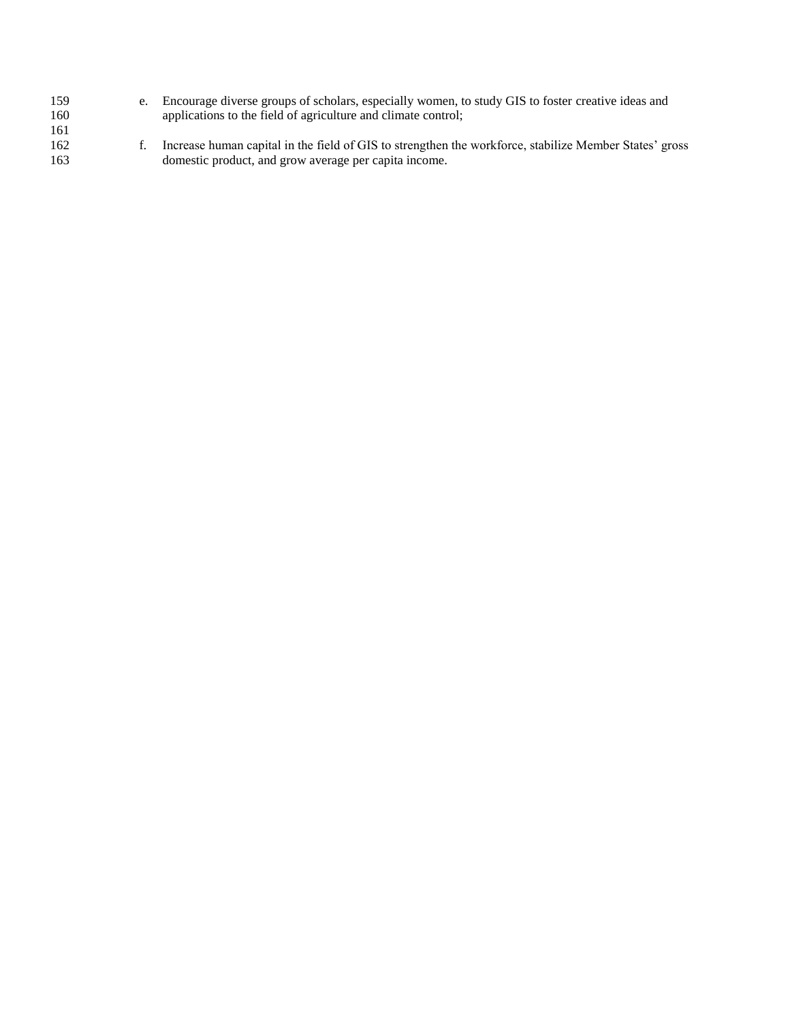| 159 | e. Encourage diverse groups of scholars, especially women, to study GIS to foster creative ideas and   |
|-----|--------------------------------------------------------------------------------------------------------|
| 160 | applications to the field of agriculture and climate control;                                          |
| 161 |                                                                                                        |
| 162 | Increase human capital in the field of GIS to strengthen the workforce, stabilize Member States' gross |
| 163 | domestic product, and grow average per capita income.                                                  |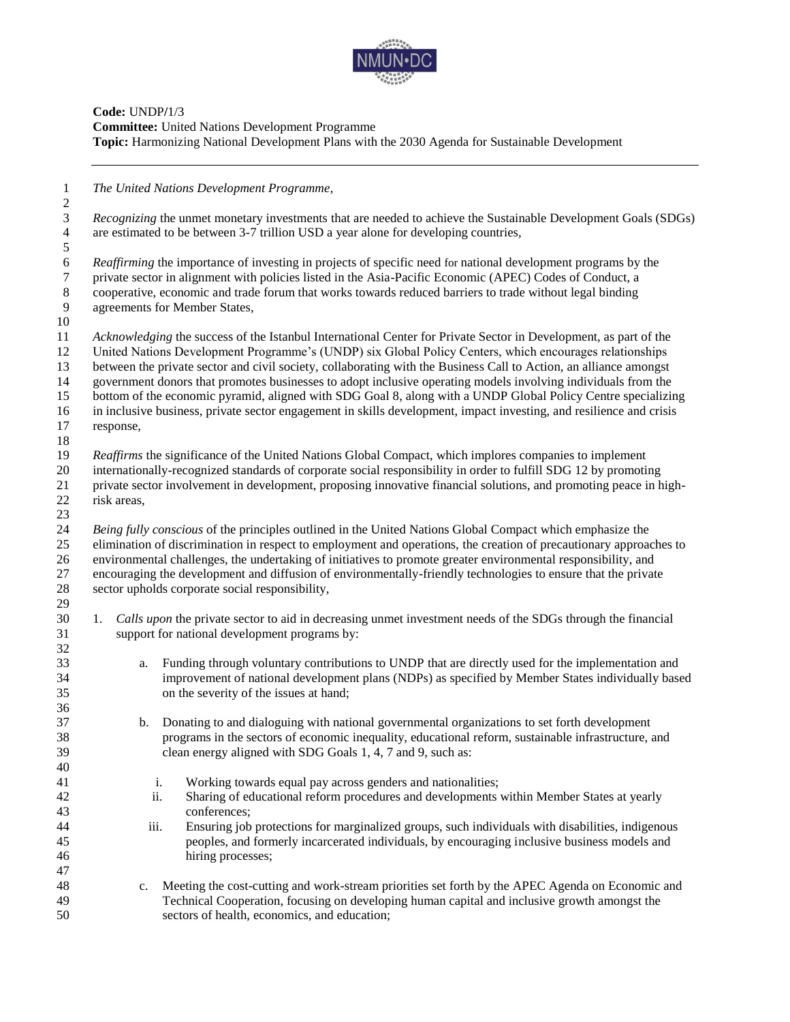

## **Code:** UNDP**/**1/3 **Committee:** United Nations Development Programme **Topic:** Harmonizing National Development Plans with the 2030 Agenda for Sustainable Development

*The United Nations Development Programme*,

 *Recognizing* the unmet monetary investments that are needed to achieve the Sustainable Development Goals (SDGs) are estimated to be between 3-7 trillion USD a year alone for developing countries, 

*Reaffirming* the importance of investing in projects of specific need for national development programs by the private sector in alignment with policies listed in the Asia-Pacific Economic (APEC) Codes of Conduct, a private sector in alignment with policies listed in the Asia-Pacific Economic (APEC) Codes of Conduct, a cooperative, economic and trade forum that works towards reduced barriers to trade without legal binding agreements for Member States,

 *Acknowledging* the success of the Istanbul International Center for Private Sector in Development, as part of the United Nations Development Programme's (UNDP) six Global Policy Centers, which encourages relationships between the private sector and civil society, collaborating with the Business Call to Action, an alliance amongst government donors that promotes businesses to adopt inclusive operating models involving individuals from the bottom of the economic pyramid, aligned with SDG Goal 8, along with a UNDP Global Policy Centre specializing

in inclusive business, private sector engagement in skills development, impact investing, and resilience and crisis

 response, 

*Reaffirms* the significance of the United Nations Global Compact, which implores companies to implement

 internationally-recognized standards of corporate social responsibility in order to fulfill SDG 12 by promoting private sector involvement in development, proposing innovative financial solutions, and promoting peace in high-risk areas,

 *Being fully conscious* of the principles outlined in the United Nations Global Compact which emphasize the elimination of discrimination in respect to employment and operations, the creation of precautionary approaches to environmental challenges, the undertaking of initiatives to promote greater environmental responsibility, and encouraging the development and diffusion of environmentally-friendly technologies to ensure that the private sector upholds corporate social responsibility, 

- 1. *Calls upon* the private sector to aid in decreasing unmet investment needs of the SDGs through the financial support for national development programs by:
- a. Funding through voluntary contributions to UNDP that are directly used for the implementation and improvement of national development plans (NDPs) as specified by Member States individually based on the severity of the issues at hand;
- b. Donating to and dialoguing with national governmental organizations to set forth development programs in the sectors of economic inequality, educational reform, sustainable infrastructure, and clean energy aligned with SDG Goals 1, 4, 7 and 9, such as:
- i. Working towards equal pay across genders and nationalities;
- ii. Sharing of educational reform procedures and developments within Member States at yearly conferences;
- iii. Ensuring job protections for marginalized groups, such individuals with disabilities, indigenous peoples, and formerly incarcerated individuals, by encouraging inclusive business models and hiring processes;
- c. Meeting the cost-cutting and work-stream priorities set forth by the APEC Agenda on Economic and Technical Cooperation, focusing on developing human capital and inclusive growth amongst the sectors of health, economics, and education;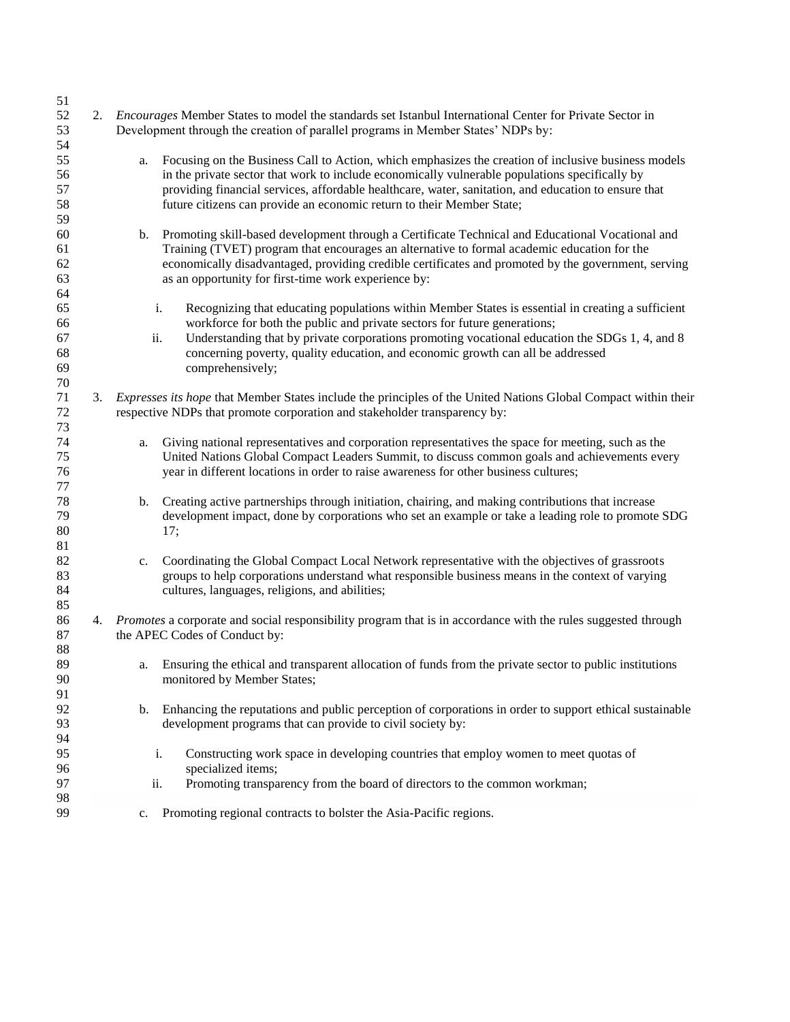| 51<br>52<br>53                   | 2. |                | Encourages Member States to model the standards set Istanbul International Center for Private Sector in<br>Development through the creation of parallel programs in Member States' NDPs by:                                                                                                                                                                                                          |
|----------------------------------|----|----------------|------------------------------------------------------------------------------------------------------------------------------------------------------------------------------------------------------------------------------------------------------------------------------------------------------------------------------------------------------------------------------------------------------|
| 54<br>55<br>56<br>57<br>58<br>59 |    | a.             | Focusing on the Business Call to Action, which emphasizes the creation of inclusive business models<br>in the private sector that work to include economically vulnerable populations specifically by<br>providing financial services, affordable healthcare, water, sanitation, and education to ensure that<br>future citizens can provide an economic return to their Member State;               |
| 60<br>61<br>62<br>63<br>64       |    | $\mathbf{b}$ . | Promoting skill-based development through a Certificate Technical and Educational Vocational and<br>Training (TVET) program that encourages an alternative to formal academic education for the<br>economically disadvantaged, providing credible certificates and promoted by the government, serving<br>as an opportunity for first-time work experience by:                                       |
| 65<br>66<br>67<br>68<br>69<br>70 |    |                | Recognizing that educating populations within Member States is essential in creating a sufficient<br>i.<br>workforce for both the public and private sectors for future generations;<br>Understanding that by private corporations promoting vocational education the SDGs 1, 4, and 8<br>ii.<br>concerning poverty, quality education, and economic growth can all be addressed<br>comprehensively; |
| 71<br>72<br>73                   |    |                | 3. Expresses its hope that Member States include the principles of the United Nations Global Compact within their<br>respective NDPs that promote corporation and stakeholder transparency by:                                                                                                                                                                                                       |
| 74<br>75<br>76<br>77             |    | a.             | Giving national representatives and corporation representatives the space for meeting, such as the<br>United Nations Global Compact Leaders Summit, to discuss common goals and achievements every<br>year in different locations in order to raise awareness for other business cultures;                                                                                                           |
| 78<br>79<br>80<br>81             |    | b.             | Creating active partnerships through initiation, chairing, and making contributions that increase<br>development impact, done by corporations who set an example or take a leading role to promote SDG<br>17;                                                                                                                                                                                        |
| 82<br>83<br>84<br>85             |    | c.             | Coordinating the Global Compact Local Network representative with the objectives of grassroots<br>groups to help corporations understand what responsible business means in the context of varying<br>cultures, languages, religions, and abilities;                                                                                                                                                 |
| 86<br>87<br>88                   | 4. |                | Promotes a corporate and social responsibility program that is in accordance with the rules suggested through<br>the APEC Codes of Conduct by:                                                                                                                                                                                                                                                       |
| 89<br>90<br>91                   |    | a.             | Ensuring the ethical and transparent allocation of funds from the private sector to public institutions<br>monitored by Member States;                                                                                                                                                                                                                                                               |
| 92<br>93<br>94                   |    | b.             | Enhancing the reputations and public perception of corporations in order to support ethical sustainable<br>development programs that can provide to civil society by:                                                                                                                                                                                                                                |
| 95<br>96<br>97                   |    |                | Constructing work space in developing countries that employ women to meet quotas of<br>i.<br>specialized items;<br>Promoting transparency from the board of directors to the common workman;<br>ii.                                                                                                                                                                                                  |
| 98<br>99                         |    | c.             | Promoting regional contracts to bolster the Asia-Pacific regions.                                                                                                                                                                                                                                                                                                                                    |
|                                  |    |                |                                                                                                                                                                                                                                                                                                                                                                                                      |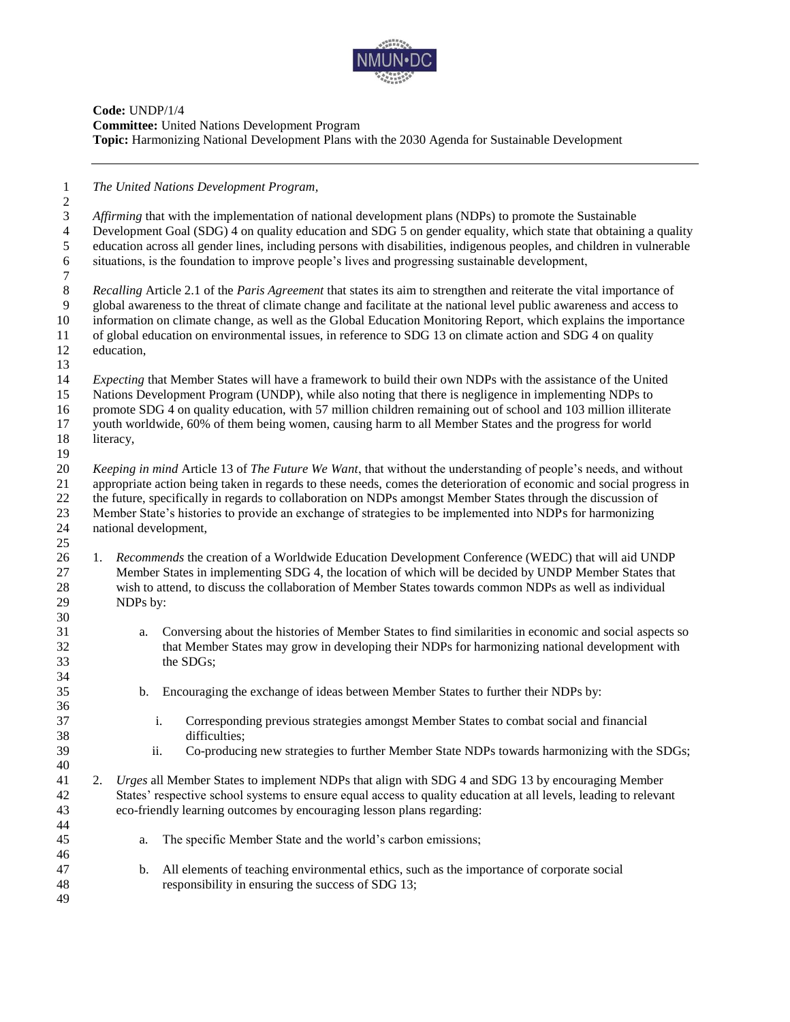

**Code:** UNDP/1/4 **Committee:** United Nations Development Program **Topic:** Harmonizing National Development Plans with the 2030 Agenda for Sustainable Development

*The United Nations Development Program,*

 *Affirming* that with the implementation of national development plans (NDPs) to promote the Sustainable Development Goal (SDG) 4 on quality education and SDG 5 on gender equality, which state that obtaining a quality education across all gender lines, including persons with disabilities, indigenous peoples, and children in vulnerable situations, is the foundation to improve people's lives and progressing sustainable development,

 *Recalling* Article 2.1 of the *Paris Agreement* that states its aim to strengthen and reiterate the vital importance of global awareness to the threat of climate change and facilitate at the national level public awareness and access to information on climate change, as well as the Global Education Monitoring Report, which explains the importance of global education on environmental issues, in reference to SDG 13 on climate action and SDG 4 on quality education,

*Expecting* that Member States will have a framework to build their own NDPs with the assistance of the United

Nations Development Program (UNDP), while also noting that there is negligence in implementing NDPs to

promote SDG 4 on quality education, with 57 million children remaining out of school and 103 million illiterate

 youth worldwide, 60% of them being women, causing harm to all Member States and the progress for world literacy,

 *Keeping in mind* Article 13 of *The Future We Want*, that without the understanding of people's needs, and without appropriate action being taken in regards to these needs, comes the deterioration of economic and social progress in the future, specifically in regards to collaboration on NDPs amongst Member States through the discussion of Member State's histories to provide an exchange of strategies to be implemented into NDPs for harmonizing national development, 

- 1. *Recommends* the creation of a Worldwide Education Development Conference (WEDC) that will aid UNDP Member States in implementing SDG 4, the location of which will be decided by UNDP Member States that wish to attend, to discuss the collaboration of Member States towards common NDPs as well as individual NDPs by:
- a. Conversing about the histories of Member States to find similarities in economic and social aspects so that Member States may grow in developing their NDPs for harmonizing national development with the SDGs;
- b. Encouraging the exchange of ideas between Member States to further their NDPs by:
- i. Corresponding previous strategies amongst Member States to combat social and financial difficulties;
- ii. Co-producing new strategies to further Member State NDPs towards harmonizing with the SDGs;
- 2. *Urges* all Member States to implement NDPs that align with SDG 4 and SDG 13 by encouraging Member States' respective school systems to ensure equal access to quality education at all levels, leading to relevant eco-friendly learning outcomes by encouraging lesson plans regarding:
- a. The specific Member State and the world's carbon emissions;
- b. All elements of teaching environmental ethics, such as the importance of corporate social responsibility in ensuring the success of SDG 13;
-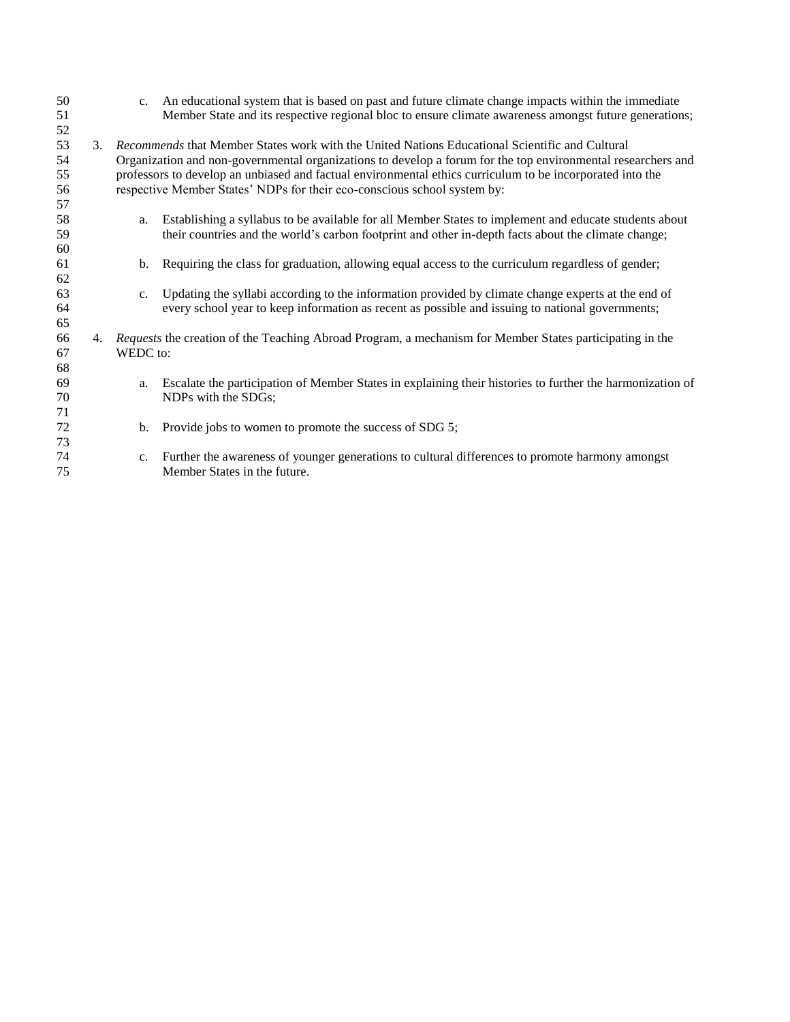| 50       |    | $C_{\bullet}$  | An educational system that is based on past and future climate change impacts within the immediate           |
|----------|----|----------------|--------------------------------------------------------------------------------------------------------------|
| 51<br>52 |    |                | Member State and its respective regional bloc to ensure climate awareness amongst future generations;        |
| 53       | 3. |                | Recommends that Member States work with the United Nations Educational Scientific and Cultural               |
| 54       |    |                | Organization and non-governmental organizations to develop a forum for the top environmental researchers and |
| 55       |    |                | professors to develop an unbiased and factual environmental ethics curriculum to be incorporated into the    |
| 56       |    |                | respective Member States' NDPs for their eco-conscious school system by:                                     |
| 57<br>58 |    |                | Establishing a syllabus to be available for all Member States to implement and educate students about        |
| 59       |    | a.             | their countries and the world's carbon footprint and other in-depth facts about the climate change;          |
| 60       |    |                |                                                                                                              |
| 61       |    | $\mathbf{b}$ . | Requiring the class for graduation, allowing equal access to the curriculum regardless of gender;            |
| 62       |    |                |                                                                                                              |
| 63       |    | $C_{\bullet}$  | Updating the syllabi according to the information provided by climate change experts at the end of           |
| 64       |    |                | every school year to keep information as recent as possible and issuing to national governments;             |
| 65       |    |                |                                                                                                              |
| 66       | 4. |                | Requests the creation of the Teaching Abroad Program, a mechanism for Member States participating in the     |
| 67       |    | WEDC to:       |                                                                                                              |
| 68       |    |                |                                                                                                              |
| 69       |    | a.             | Escalate the participation of Member States in explaining their histories to further the harmonization of    |
| 70       |    |                | NDPs with the SDGs;                                                                                          |
| 71       |    |                |                                                                                                              |
| 72<br>73 |    | b.             | Provide jobs to women to promote the success of SDG 5;                                                       |
| 74       |    | $C_{\star}$    | Further the awareness of younger generations to cultural differences to promote harmony amongst              |
| 75       |    |                | Member States in the future.                                                                                 |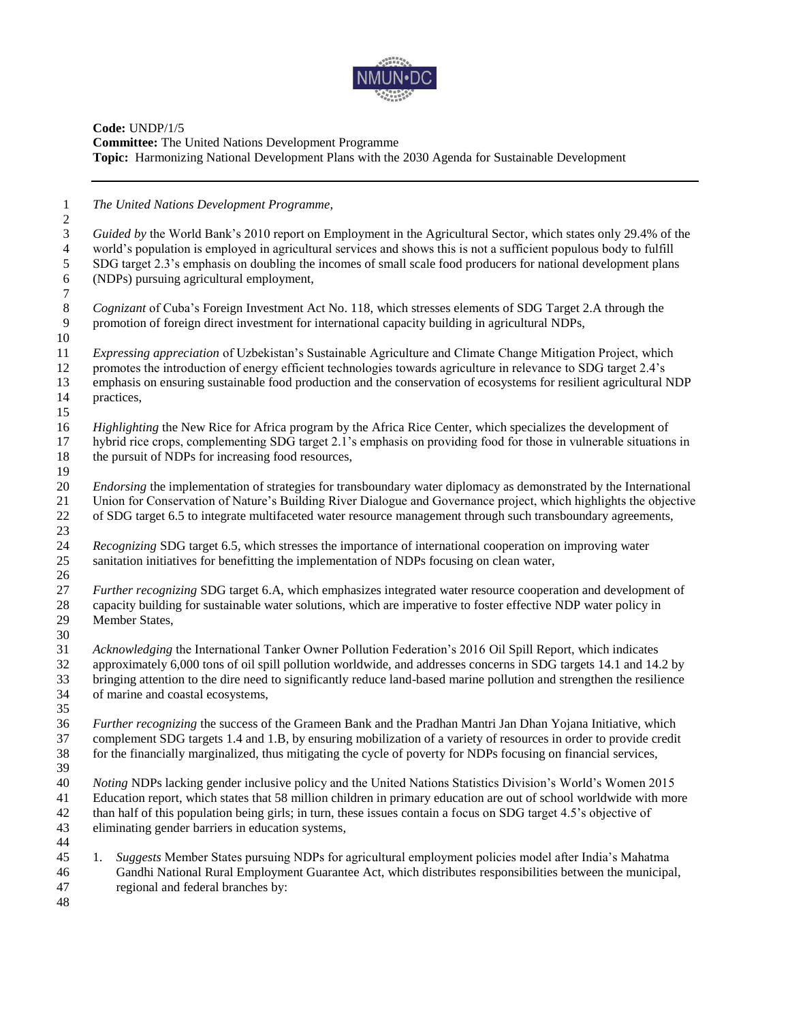

## **Code:** UNDP/1/5 **Committee:** The United Nations Development Programme **Topic:** Harmonizing National Development Plans with the 2030 Agenda for Sustainable Development

 *The United Nations Development Programme,*  $\frac{2}{3}$  *Guided by* the World Bank's 2010 report on Employment in the Agricultural Sector, which states only 29.4% of the world's population is employed in agricultural services and shows this is not a sufficient populous body to fulfill SDG target 2.3's emphasis on doubling the incomes of small scale food producers for national development plans (NDPs) pursuing agricultural employment, *Cognizant* of Cuba's Foreign Investment Act No. 118, which stresses elements of SDG Target 2.A through the promotion of foreign direct investment for international capacity building in agricultural NDPs. promotion of foreign direct investment for international capacity building in agricultural NDPs, *Expressing appreciation* of Uzbekistan's Sustainable Agriculture and Climate Change Mitigation Project, which 12 promotes the introduction of energy efficient technologies towards agriculture in relevance to SDG target 2.4's emphasis on ensuring sustainable food production and the conservation of ecosystems for resilient agricultural NDP practices, *Highlighting* the New Rice for Africa program by the Africa Rice Center, which specializes the development of hybrid rice crops, complementing SDG target 2.1's emphasis on providing food for those in vulnerable situations in the pursuit of NDPs for increasing food resources, *Endorsing* the implementation of strategies for transboundary water diplomacy as demonstrated by the International Union for Conservation of Nature's Building River Dialogue and Governance project, which highlights the objective of SDG target 6.5 to integrate multifaceted water resource management through such transboundary agreements, *Recognizing* SDG target 6.5, which stresses the importance of international cooperation on improving water sanitation initiatives for benefitting the implementation of NDPs focusing on clean water, *Further recognizing* SDG target 6.A, which emphasizes integrated water resource cooperation and development of capacity building for sustainable water solutions, which are imperative to foster effective NDP water policy in Member States, *Acknowledging* the International Tanker Owner Pollution Federation's 2016 Oil Spill Report, which indicates approximately 6,000 tons of oil spill pollution worldwide, and addresses concerns in SDG targets 14.1 and 14.2 by bringing attention to the dire need to significantly reduce land-based marine pollution and strengthen the resilience of marine and coastal ecosystems, *Further recognizing* the success of the Grameen Bank and the Pradhan Mantri Jan Dhan Yojana Initiative, which complement SDG targets 1.4 and 1.B, by ensuring mobilization of a variety of resources in order to provide credit for the financially marginalized, thus mitigating the cycle of poverty for NDPs focusing on financial services, *Noting* NDPs lacking gender inclusive policy and the United Nations Statistics Division's World's Women 2015 Education report, which states that 58 million children in primary education are out of school worldwide with more than half of this population being girls; in turn, these issues contain a focus on SDG target 4.5's objective of eliminating gender barriers in education systems, 1. *Suggests* Member States pursuing NDPs for agricultural employment policies model after India's Mahatma Gandhi National Rural Employment Guarantee Act, which distributes responsibilities between the municipal, regional and federal branches by: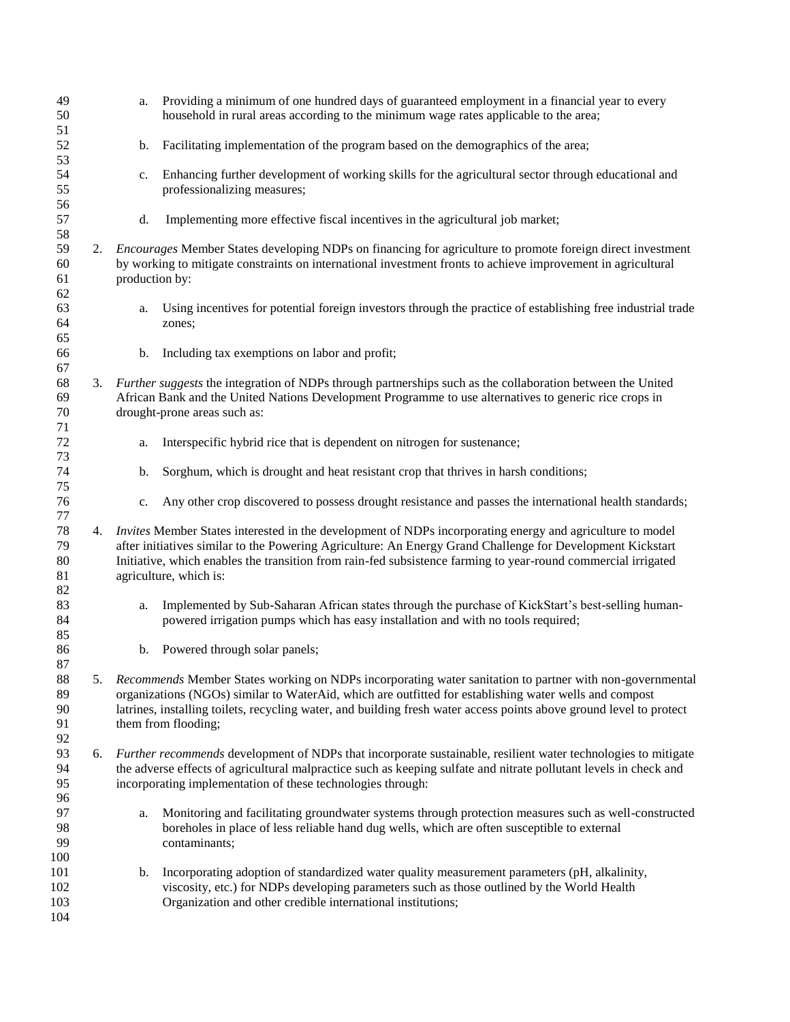| 49<br>50                   |    | a.             | Providing a minimum of one hundred days of guaranteed employment in a financial year to every<br>household in rural areas according to the minimum wage rates applicable to the area;                                                                                                                                                                              |
|----------------------------|----|----------------|--------------------------------------------------------------------------------------------------------------------------------------------------------------------------------------------------------------------------------------------------------------------------------------------------------------------------------------------------------------------|
| 51<br>52<br>53             |    | b.             | Facilitating implementation of the program based on the demographics of the area;                                                                                                                                                                                                                                                                                  |
| 54<br>55                   |    | c.             | Enhancing further development of working skills for the agricultural sector through educational and<br>professionalizing measures;                                                                                                                                                                                                                                 |
| 56<br>57<br>58             |    | d.             | Implementing more effective fiscal incentives in the agricultural job market;                                                                                                                                                                                                                                                                                      |
| 59<br>60<br>61<br>62       |    | production by: | 2. <i>Encourages</i> Member States developing NDPs on financing for agriculture to promote foreign direct investment<br>by working to mitigate constraints on international investment fronts to achieve improvement in agricultural                                                                                                                               |
| 63<br>64<br>65             |    | a.             | Using incentives for potential foreign investors through the practice of establishing free industrial trade<br>zones;                                                                                                                                                                                                                                              |
| 66<br>67                   |    | b.             | Including tax exemptions on labor and profit;                                                                                                                                                                                                                                                                                                                      |
| 68<br>69<br>70<br>71       |    |                | 3. Further suggests the integration of NDPs through partnerships such as the collaboration between the United<br>African Bank and the United Nations Development Programme to use alternatives to generic rice crops in<br>drought-prone areas such as:                                                                                                            |
| 72<br>73                   |    | a.             | Interspecific hybrid rice that is dependent on nitrogen for sustenance;                                                                                                                                                                                                                                                                                            |
| 74<br>75                   |    | b.             | Sorghum, which is drought and heat resistant crop that thrives in harsh conditions;                                                                                                                                                                                                                                                                                |
| 76<br>77                   |    | c.             | Any other crop discovered to possess drought resistance and passes the international health standards;                                                                                                                                                                                                                                                             |
| 78<br>79<br>80<br>81<br>82 | 4. |                | Invites Member States interested in the development of NDPs incorporating energy and agriculture to model<br>after initiatives similar to the Powering Agriculture: An Energy Grand Challenge for Development Kickstart<br>Initiative, which enables the transition from rain-fed subsistence farming to year-round commercial irrigated<br>agriculture, which is: |
| 83<br>84<br>85             |    | a.             | Implemented by Sub-Saharan African states through the purchase of KickStart's best-selling human-<br>powered irrigation pumps which has easy installation and with no tools required;                                                                                                                                                                              |
| 86<br>87                   |    | b.             | Powered through solar panels;                                                                                                                                                                                                                                                                                                                                      |
| 88<br>89<br>90<br>91<br>92 | 5. |                | Recommends Member States working on NDPs incorporating water sanitation to partner with non-governmental<br>organizations (NGOs) similar to WaterAid, which are outfitted for establishing water wells and compost<br>latrines, installing toilets, recycling water, and building fresh water access points above ground level to protect<br>them from flooding;   |
| 93<br>94<br>95<br>96       | 6. |                | Further recommends development of NDPs that incorporate sustainable, resilient water technologies to mitigate<br>the adverse effects of agricultural malpractice such as keeping sulfate and nitrate pollutant levels in check and<br>incorporating implementation of these technologies through:                                                                  |
| 97<br>98<br>99<br>100      |    | a.             | Monitoring and facilitating groundwater systems through protection measures such as well-constructed<br>boreholes in place of less reliable hand dug wells, which are often susceptible to external<br>contaminants;                                                                                                                                               |
| 101<br>102<br>103<br>104   |    | b.             | Incorporating adoption of standardized water quality measurement parameters (pH, alkalinity,<br>viscosity, etc.) for NDPs developing parameters such as those outlined by the World Health<br>Organization and other credible international institutions;                                                                                                          |